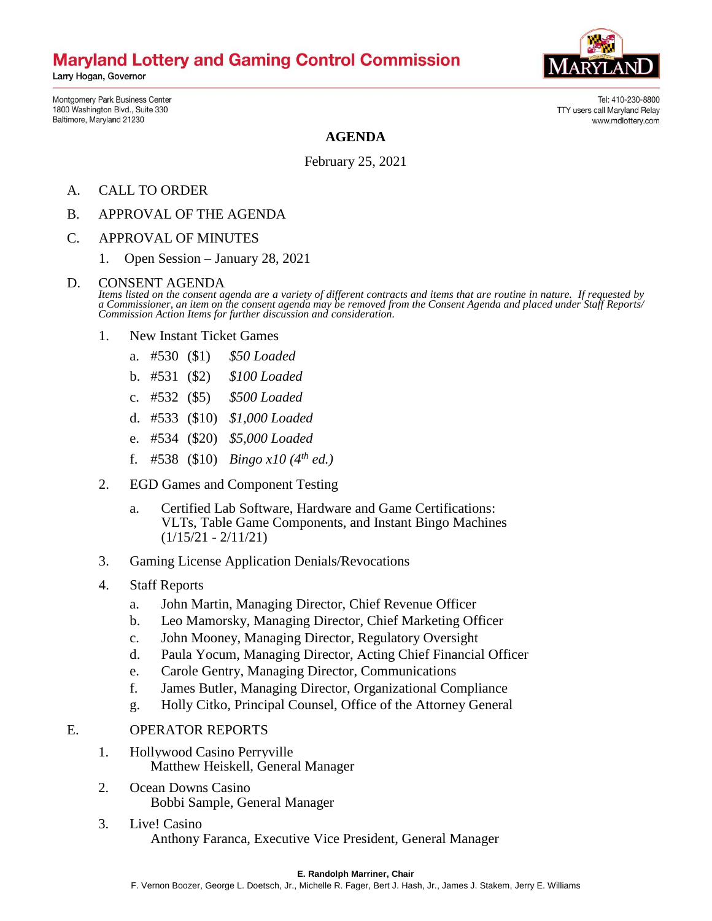# **Maryland Lottery and Gaming Control Commission**

Larry Hogan, Governor

Tel: 410-230-8800

www.mdlottery.com

TTY users call Maryland Relay

Montgomery Park Business Center 1800 Washington Blvd., Suite 330 Baltimore, Maryland 21230

**AGENDA**

February 25, 2021

- A. CALL TO ORDER
- B. APPROVAL OF THE AGENDA
- C. APPROVAL OF MINUTES
	- 1. Open Session January 28, 2021

### D. CONSENT AGENDA

*Items listed on the consent agenda are a variety of different contracts and items that are routine in nature. If requested by a Commissioner, an item on the consent agenda may be removed from the Consent Agenda and placed under Staff Reports/ Commission Action Items for further discussion and consideration.*

- 1. New Instant Ticket Games
	- a. #530 (\$1) *\$50 Loaded*
	- b. #531 (\$2) *\$100 Loaded*
	- c. #532 (\$5) *\$500 Loaded*
	- d. #533 (\$10) *\$1,000 Loaded*
	- e. #534 (\$20) *\$5,000 Loaded*
	- f. #538 (\$10) *Bingo x10 (4th ed.)*
- 2. EGD Games and Component Testing
	- a. Certified Lab Software, Hardware and Game Certifications: VLTs, Table Game Components, and Instant Bingo Machines  $(1/15/21 - 2/11/21)$
- 3. Gaming License Application Denials/Revocations
- 4. Staff Reports
	- a. John Martin, Managing Director, Chief Revenue Officer
	- b. Leo Mamorsky, Managing Director, Chief Marketing Officer
	- c. John Mooney, Managing Director, Regulatory Oversight
	- d. Paula Yocum, Managing Director, Acting Chief Financial Officer
	- e. Carole Gentry, Managing Director, Communications
	- f. James Butler, Managing Director, Organizational Compliance
	- g. Holly Citko, Principal Counsel, Office of the Attorney General

### E. OPERATOR REPORTS

- 1. Hollywood Casino Perryville Matthew Heiskell, General Manager
- 2. Ocean Downs Casino Bobbi Sample, General Manager
- 3. Live! Casino Anthony Faranca, Executive Vice President, General Manager

#### **E. Randolph Marriner, Chair**